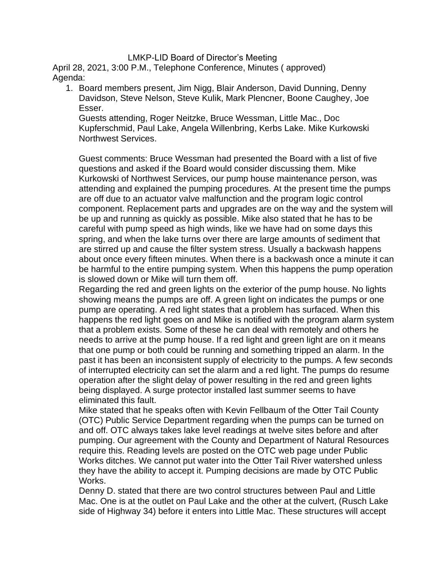## LMKP-LID Board of Director's Meeting

April 28, 2021, 3:00 P.M., Telephone Conference, Minutes ( approved) Agenda:

1. Board members present, Jim Nigg, Blair Anderson, David Dunning, Denny Davidson, Steve Nelson, Steve Kulik, Mark Plencner, Boone Caughey, Joe Esser.

Guests attending, Roger Neitzke, Bruce Wessman, Little Mac., Doc Kupferschmid, Paul Lake, Angela Willenbring, Kerbs Lake. Mike Kurkowski Northwest Services.

Guest comments: Bruce Wessman had presented the Board with a list of five questions and asked if the Board would consider discussing them. Mike Kurkowski of Northwest Services, our pump house maintenance person, was attending and explained the pumping procedures. At the present time the pumps are off due to an actuator valve malfunction and the program logic control component. Replacement parts and upgrades are on the way and the system will be up and running as quickly as possible. Mike also stated that he has to be careful with pump speed as high winds, like we have had on some days this spring, and when the lake turns over there are large amounts of sediment that are stirred up and cause the filter system stress. Usually a backwash happens about once every fifteen minutes. When there is a backwash once a minute it can be harmful to the entire pumping system. When this happens the pump operation is slowed down or Mike will turn them off.

Regarding the red and green lights on the exterior of the pump house. No lights showing means the pumps are off. A green light on indicates the pumps or one pump are operating. A red light states that a problem has surfaced. When this happens the red light goes on and Mike is notified with the program alarm system that a problem exists. Some of these he can deal with remotely and others he needs to arrive at the pump house. If a red light and green light are on it means that one pump or both could be running and something tripped an alarm. In the past it has been an inconsistent supply of electricity to the pumps. A few seconds of interrupted electricity can set the alarm and a red light. The pumps do resume operation after the slight delay of power resulting in the red and green lights being displayed. A surge protector installed last summer seems to have eliminated this fault.

Mike stated that he speaks often with Kevin Fellbaum of the Otter Tail County (OTC) Public Service Department regarding when the pumps can be turned on and off. OTC always takes lake level readings at twelve sites before and after pumping. Our agreement with the County and Department of Natural Resources require this. Reading levels are posted on the OTC web page under Public Works ditches. We cannot put water into the Otter Tail River watershed unless they have the ability to accept it. Pumping decisions are made by OTC Public Works.

Denny D. stated that there are two control structures between Paul and Little Mac. One is at the outlet on Paul Lake and the other at the culvert, (Rusch Lake side of Highway 34) before it enters into Little Mac. These structures will accept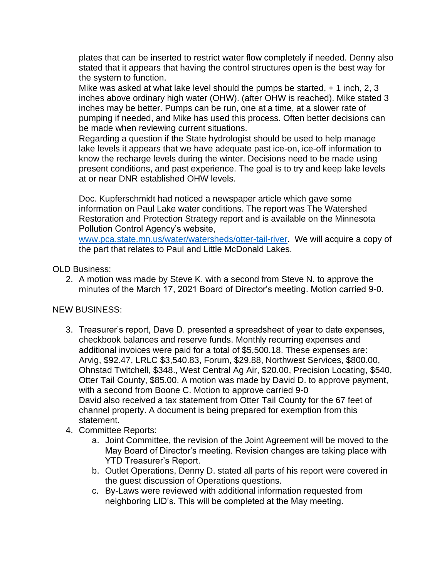plates that can be inserted to restrict water flow completely if needed. Denny also stated that it appears that having the control structures open is the best way for the system to function.

Mike was asked at what lake level should the pumps be started, + 1 inch, 2, 3 inches above ordinary high water (OHW). (after OHW is reached). Mike stated 3 inches may be better. Pumps can be run, one at a time, at a slower rate of pumping if needed, and Mike has used this process. Often better decisions can be made when reviewing current situations.

Regarding a question if the State hydrologist should be used to help manage lake levels it appears that we have adequate past ice-on, ice-off information to know the recharge levels during the winter. Decisions need to be made using present conditions, and past experience. The goal is to try and keep lake levels at or near DNR established OHW levels.

Doc. Kupferschmidt had noticed a newspaper article which gave some information on Paul Lake water conditions. The report was The Watershed Restoration and Protection Strategy report and is available on the Minnesota Pollution Control Agency's website,

[www.pca.state.mn.us/water/watersheds/otter-tail-river.](http://www.pca.state.mn.us/water/watersheds/otter-tail-river) We will acquire a copy of the part that relates to Paul and Little McDonald Lakes.

OLD Business:

2. A motion was made by Steve K. with a second from Steve N. to approve the minutes of the March 17, 2021 Board of Director's meeting. Motion carried 9-0.

## NEW BUSINESS:

- 3. Treasurer's report, Dave D. presented a spreadsheet of year to date expenses, checkbook balances and reserve funds. Monthly recurring expenses and additional invoices were paid for a total of \$5,500.18. These expenses are: Arvig, \$92.47, LRLC \$3,540.83, Forum, \$29.88, Northwest Services, \$800.00, Ohnstad Twitchell, \$348., West Central Ag Air, \$20.00, Precision Locating, \$540, Otter Tail County, \$85.00. A motion was made by David D. to approve payment, with a second from Boone C. Motion to approve carried 9-0 David also received a tax statement from Otter Tail County for the 67 feet of channel property. A document is being prepared for exemption from this statement.
- 4. Committee Reports:
	- a. Joint Committee, the revision of the Joint Agreement will be moved to the May Board of Director's meeting. Revision changes are taking place with YTD Treasurer's Report.
	- b. Outlet Operations, Denny D. stated all parts of his report were covered in the guest discussion of Operations questions.
	- c. By-Laws were reviewed with additional information requested from neighboring LID's. This will be completed at the May meeting.